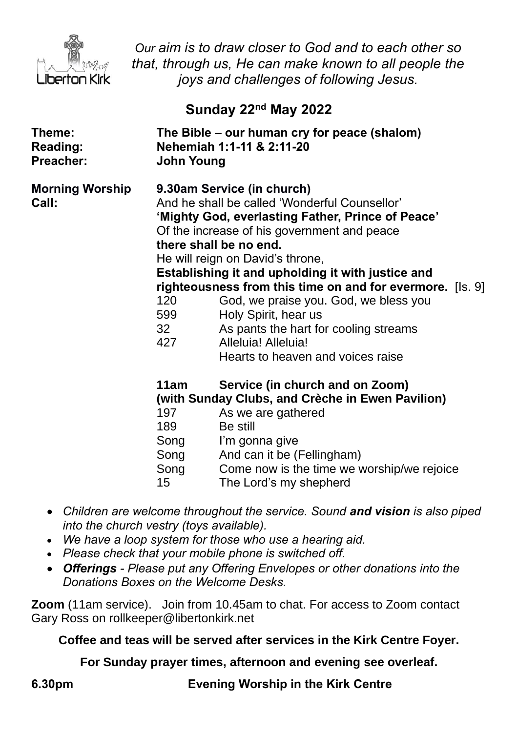

*Our aim is to draw closer to God and to each other so that, through us, He can make known to all people the joys and challenges of following Jesus.*

## **Sunday 22nd May 2022**

| Theme:<br><b>Reading:</b><br>Preacher: | The Bible - our human cry for peace (shalom)<br>Nehemiah 1:1-11 & 2:11-20<br><b>John Young</b>                                                                                                                                                                                                                                                                                                                                                                                                                                                                   |                                                                                                                                                                                                                                               |
|----------------------------------------|------------------------------------------------------------------------------------------------------------------------------------------------------------------------------------------------------------------------------------------------------------------------------------------------------------------------------------------------------------------------------------------------------------------------------------------------------------------------------------------------------------------------------------------------------------------|-----------------------------------------------------------------------------------------------------------------------------------------------------------------------------------------------------------------------------------------------|
| <b>Morning Worship</b><br><b>Call:</b> | 9.30am Service (in church)<br>And he shall be called 'Wonderful Counsellor'<br>'Mighty God, everlasting Father, Prince of Peace'<br>Of the increase of his government and peace<br>there shall be no end.<br>He will reign on David's throne,<br>Establishing it and upholding it with justice and<br>righteousness from this time on and for evermore. [Is. 9]<br>120<br>God, we praise you. God, we bless you<br>599<br>Holy Spirit, hear us<br>32<br>As pants the hart for cooling streams<br>427<br>Alleluia! Alleluia!<br>Hearts to heaven and voices raise |                                                                                                                                                                                                                                               |
|                                        | 11am<br>197<br>189<br>Song<br>Song<br>Song<br>15                                                                                                                                                                                                                                                                                                                                                                                                                                                                                                                 | Service (in church and on Zoom)<br>(with Sunday Clubs, and Crèche in Ewen Pavilion)<br>As we are gathered<br>Be still<br>I'm gonna give<br>And can it be (Fellingham)<br>Come now is the time we worship/we rejoice<br>The Lord's my shepherd |

- *Children are welcome throughout the service. Sound and vision is also piped into the church vestry (toys available).*
- *We have a loop system for those who use a hearing aid.*
- *Please check that your mobile phone is switched off.*
- *Offerings - Please put any Offering Envelopes or other donations into the Donations Boxes on the Welcome Desks.*

**Zoom** (11am service).Join from 10.45am to chat. For access to Zoom contact Gary Ross on rollkeeper@libertonkirk.net

**Coffee and teas will be served after services in the Kirk Centre Foyer.**

**For Sunday prayer times, afternoon and evening see overleaf.**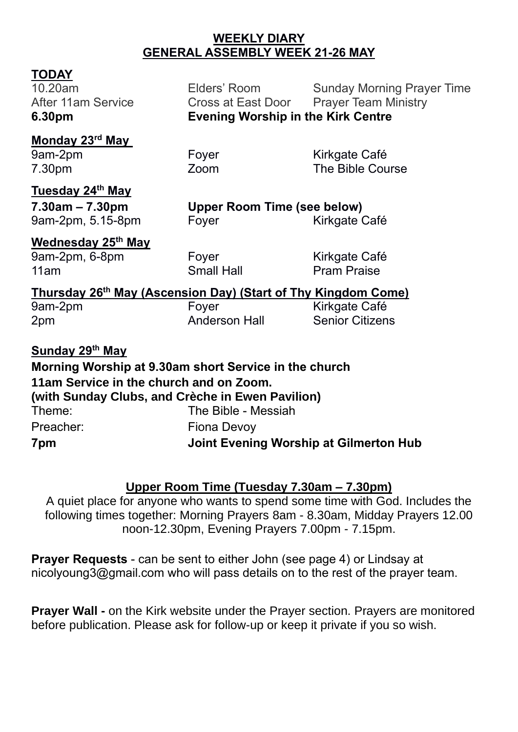#### **WEEKLY DIARY GENERAL ASSEMBLY WEEK 21-26 MAY**

**TODAY**<br>10.20am

Elders' Room Sunday Morning Prayer Time After 11am Service **Cross at East Door** Prayer Team Ministry **6.30pm Evening Worship in the Kirk Centre**

#### **Monday 23rd May**

9am-2pm Foyer Form Kirkgate Café 7.30pm Zoom The Bible Course

# **Tuesday 24th May**

**7.30am – 7.30pm Upper Room Time (see below)** 9am-2pm, 5.15-8pm Foyer Form Kirkgate Café

## **Wednesday 25th May**

9am-2pm, 6-8pm Foyer Form Kirkgate Café 11am **Small Hall** Pram Praise

#### **Thursday 26th May (Ascension Day) (Start of Thy Kingdom Come)**

9am-2pm Foyer Fore Kirkgate Café

2pm Anderson Hall Senior Citizens

**Sunday 29 th May Morning Worship at 9.30am short Service in the church 11am Service in the church and on Zoom. (with Sunday Clubs, and Crèche in Ewen Pavilion)** Theme: The Bible - Messiah Preacher: Fiona Devoy **7pm Joint Evening Worship at Gilmerton Hub**

### **Upper Room Time (Tuesday 7.30am – 7.30pm)**

A quiet place for anyone who wants to spend some time with God. Includes the following times together: Morning Prayers 8am - 8.30am, Midday Prayers 12.00 noon-12.30pm, Evening Prayers 7.00pm - 7.15pm.

**Prayer Requests** - can be sent to either John (see page 4) or Lindsay at [nicolyoung3@gmail.com](mailto:nicolyoung3@gmail.com) who will pass details on to the rest of the prayer team.

**Prayer Wall -** on the Kirk website under the Prayer section. Prayers are monitored before publication. Please ask for follow-up or keep it private if you so wish.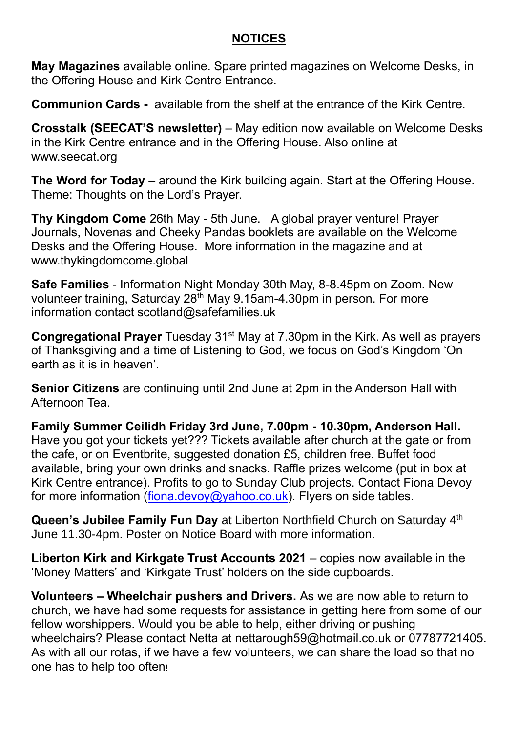#### **NOTICES**

**May Magazines** available online. Spare printed magazines on Welcome Desks, in the Offering House and Kirk Centre Entrance.

**Communion Cards -** available from the shelf at the entrance of the Kirk Centre.

**Crosstalk (SEECAT'S newsletter)** – May edition now available on Welcome Desks in the Kirk Centre entrance and in the Offering House. Also online at [www.seecat.org](http://www.seecat.org/)

**The Word for Today** – around the Kirk building again. Start at the Offering House. Theme: Thoughts on the Lord's Prayer.

**Thy Kingdom Come** 26th May - 5th June. A global prayer venture! Prayer Journals, Novenas and Cheeky Pandas booklets are available on the Welcome Desks and the Offering House. More information in the magazine and at [www.thykingdomcome.global](http://www.thykingdomcome.global/)

**Safe Families** - Information Night Monday 30th May, 8-8.45pm on Zoom. New volunteer training, Saturday  $28<sup>th</sup>$  May 9.15am-4.30pm in person. For more information contact scotland@safefamilies.uk

**Congregational Prayer** Tuesday 31<sup>st</sup> May at 7.30pm in the Kirk. As well as prayers of Thanksgiving and a time of Listening to God, we focus on God's Kingdom 'On earth as it is in heaven'.

**Senior Citizens** are continuing until 2nd June at 2pm in the Anderson Hall with Afternoon Tea.

**Family Summer Ceilidh Friday 3rd June, 7.00pm - 10.30pm, Anderson Hall.** Have you got your tickets yet??? Tickets available after church at the gate or from the cafe, or on Eventbrite, suggested donation £5, children free. Buffet food available, bring your own drinks and snacks. Raffle prizes welcome (put in box at Kirk Centre entrance). Profits to go to Sunday Club projects. Contact Fiona Devoy for more information [\(fiona.devoy@yahoo.co.uk\)](mailto:fiona.devoy@yahoo.co.uk). Flyers on side tables.

**Queen's Jubilee Family Fun Day** at Liberton Northfield Church on Saturday 4<sup>th</sup> June 11.30-4pm. Poster on Notice Board with more information.

**Liberton Kirk and Kirkgate Trust Accounts 2021** – copies now available in the 'Money Matters' and 'Kirkgate Trust' holders on the side cupboards.

**Volunteers – Wheelchair pushers and Drivers.** As we are now able to return to church, we have had some requests for assistance in getting here from some of our fellow worshippers. Would you be able to help, either driving or pushing wheelchairs? Please contact Netta at [nettarough59@hotmail.co.uk](mailto:nettarough59@hotmail.co.uk) or 07787721405. As with all our rotas, if we have a few volunteers, we can share the load so that no one has to help too often!